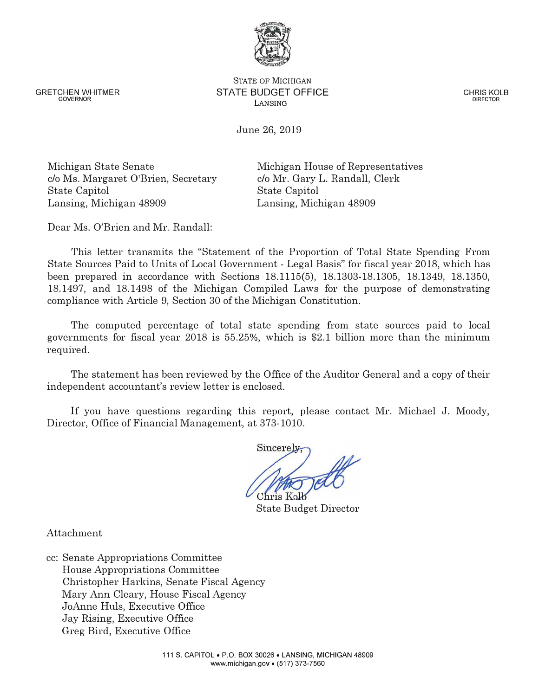www.michigan.gov • (517) 373-7560

GRETCHEN WHITMER GOVERNOR

# STATE OF MICHIGAN **STATE BUDGET OFFICE**  LANSING

June 26, 2019

Michigan State Senate c/o Ms. Margaret O'Brien, Secretary State Capitol Lansing, Michigan 48909

Michigan House of Representatives c/o Mr. Gary L. Randall, Clerk State Capitol Lansing, Michigan 48909

Dear Ms. O'Brien and Mr. Randall:

This letter transmits the "Statement of the Proportion of Total State Spending From State Sources Paid to Units of Local Government - Legal Basis" for fiscal year 2018, which has been prepared in accordance with Sections 18.1115(5), 18.1303-18.1305, 18.1349, 18.1350, 18.1497, and 18.1498 of the Michigan Compiled Laws for the purpose of demonstrating compliance with Article 9, Section 30 of the Michigan Constitution.

The computed percentage of total state spending from state sources paid to local governments for fiscal year 2018 is 55.25%, which is \$2.1 billion more than the minimum required.

The statement has been reviewed by the Office of the Auditor General and a copy of their independent accountant's review letter is enclosed.

If you have questions regarding this report, please contact Mr. Michael J. Moody, Director, Office of Financial Management, at 373-1010.

State Budget Director

Attachment

cc: Senate Appropriations Committee House Appropriations Committee Christopher Harkins, Senate Fiscal Agency Mary Ann Cleary, House Fiscal Agency JoAnne Huls, Executive Office Jay Rising, Executive Office Greg Bird, Executive Office



CHRIS KOLB DIRECTOR

 $\rm Sineerel$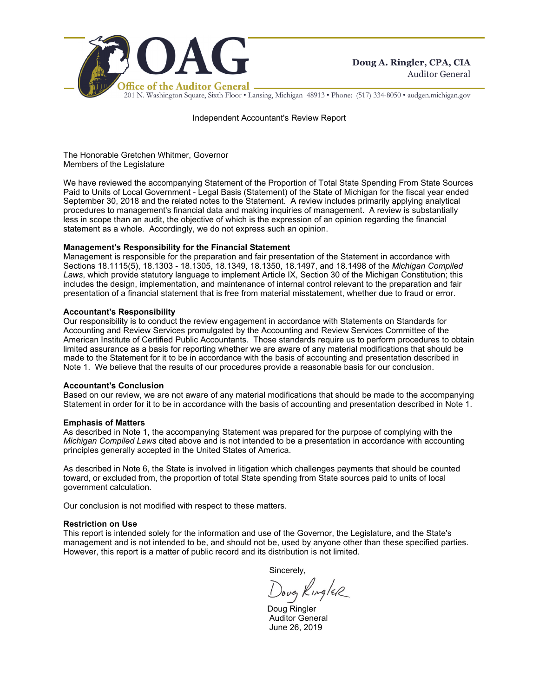

201 N. Washington Square, Sixth Floor • Lansing, Michigan 48913 • Phone: (517) 334-8050 • audgen.michigan.gov

Independent Accountant's Review Report

The Honorable Gretchen Whitmer, Governor Members of the Legislature

We have reviewed the accompanying Statement of the Proportion of Total State Spending From State Sources Paid to Units of Local Government - Legal Basis (Statement) of the State of Michigan for the fiscal year ended September 30, 2018 and the related notes to the Statement. A review includes primarily applying analytical procedures to management's financial data and making inquiries of management. A review is substantially less in scope than an audit, the objective of which is the expression of an opinion regarding the financial statement as a whole. Accordingly, we do not express such an opinion.

#### **Management's Responsibility for the Financial Statement**

Management is responsible for the preparation and fair presentation of the Statement in accordance with Sections 18.1115(5), 18.1303 - 18.1305, 18.1349, 18.1350, 18.1497, and 18.1498 of the *Michigan Compiled Laws*, which provide statutory language to implement Article IX, Section 30 of the Michigan Constitution; this includes the design, implementation, and maintenance of internal control relevant to the preparation and fair presentation of a financial statement that is free from material misstatement, whether due to fraud or error.

#### **Accountant's Responsibility**

Our responsibility is to conduct the review engagement in accordance with Statements on Standards for Accounting and Review Services promulgated by the Accounting and Review Services Committee of the American Institute of Certified Public Accountants. Those standards require us to perform procedures to obtain limited assurance as a basis for reporting whether we are aware of any material modifications that should be made to the Statement for it to be in accordance with the basis of accounting and presentation described in Note 1. We believe that the results of our procedures provide a reasonable basis for our conclusion.

#### **Accountant's Conclusion**

Based on our review, we are not aware of any material modifications that should be made to the accompanying Statement in order for it to be in accordance with the basis of accounting and presentation described in Note 1.

#### **Emphasis of Matters**

As described in Note 1, the accompanying Statement was prepared for the purpose of complying with the *Michigan Compiled Laws* cited above and is not intended to be a presentation in accordance with accounting principles generally accepted in the United States of America.

As described in Note 6, the State is involved in litigation which challenges payments that should be counted toward, or excluded from, the proportion of total State spending from State sources paid to units of local government calculation.

Our conclusion is not modified with respect to these matters.

#### **Restriction on Use**

This report is intended solely for the information and use of the Governor, the Legislature, and the State's management and is not intended to be, and should not be, used by anyone other than these specified parties. However, this report is a matter of public record and its distribution is not limited.

Sincerely,

Doug Kingler

 Doug Ringler Auditor General June 26, 2019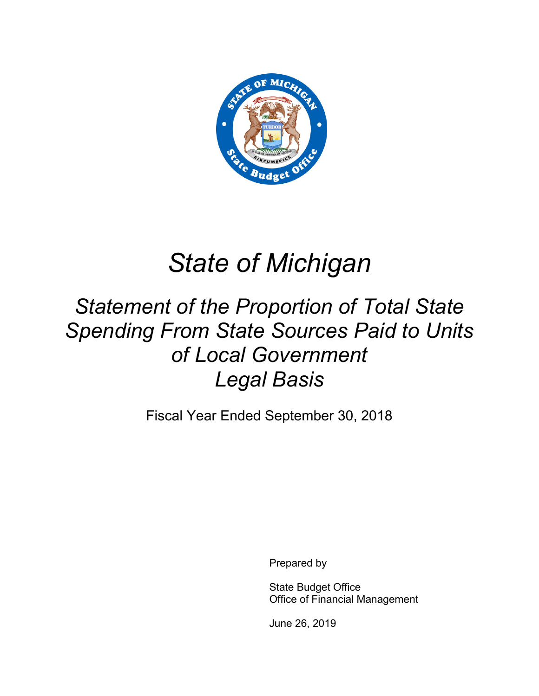

# *State of Michigan*

# *Statement of the Proportion of Total State Spending From State Sources Paid to Units of Local Government Legal Basis*

Fiscal Year Ended September 30, 2018

Prepared by

State Budget Office Office of Financial Management

June 26, 2019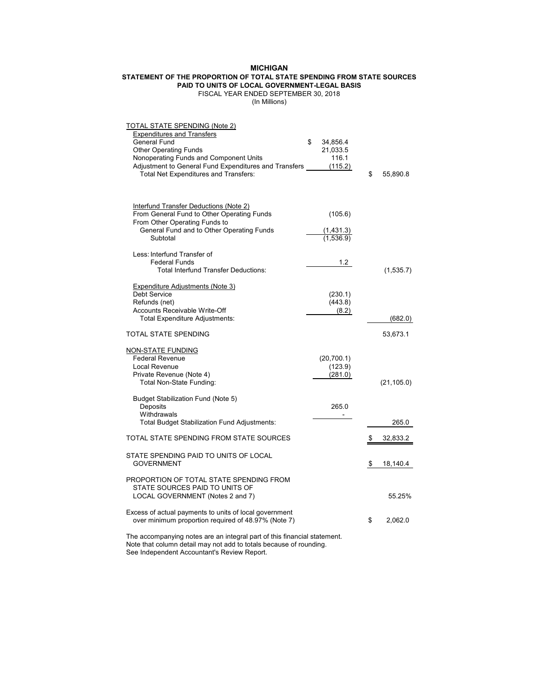## **MICHIGAN**

#### **STATEMENT OF THE PROPORTION OF TOTAL STATE SPENDING FROM STATE SOURCES PAID TO UNITS OF LOCAL GOVERNMENT-LEGAL BASIS**

# FISCAL YEAR ENDED SEPTEMBER 30, 2018

(In Millions)

| TOTAL STATE SPENDING (Note 2)<br><b>Expenditures and Transfers</b><br>General Fund<br><b>Other Operating Funds</b><br>Nonoperating Funds and Component Units<br>Adjustment to General Fund Expenditures and Transfers<br>Total Net Expenditures and Transfers: | \$<br>34,856.4<br>21,033.5<br>116.1<br>(115.2) | \$<br>55,890.8 |
|----------------------------------------------------------------------------------------------------------------------------------------------------------------------------------------------------------------------------------------------------------------|------------------------------------------------|----------------|
| <b>Interfund Transfer Deductions (Note 2)</b><br>From General Fund to Other Operating Funds<br>From Other Operating Funds to<br>General Fund and to Other Operating Funds<br>Subtotal                                                                          | (105.6)<br>(1,431.3)<br>(1,536.9)              |                |
| Less: Interfund Transfer of<br><b>Federal Funds</b><br><b>Total Interfund Transfer Deductions:</b>                                                                                                                                                             | 1.2                                            | (1,535.7)      |
| <b>Expenditure Adjustments (Note 3)</b><br><b>Debt Service</b><br>Refunds (net)<br>Accounts Receivable Write-Off<br>Total Expenditure Adjustments:                                                                                                             | (230.1)<br>(443.8)<br>(8.2)                    | (682.0)        |
| TOTAL STATE SPENDING                                                                                                                                                                                                                                           |                                                | 53,673.1       |
| <u>NON-STATE FUNDING</u><br><b>Federal Revenue</b><br>Local Revenue<br>Private Revenue (Note 4)<br>Total Non-State Funding:                                                                                                                                    | (20, 700.1)<br>(123.9)<br>(281.0)              | (21, 105.0)    |
| Budget Stabilization Fund (Note 5)<br>Deposits<br>Withdrawals<br><b>Total Budget Stabilization Fund Adjustments:</b>                                                                                                                                           | 265.0<br>$\blacksquare$                        | 265.0          |
| TOTAL STATE SPENDING FROM STATE SOURCES                                                                                                                                                                                                                        |                                                | \$<br>32,833.2 |
| STATE SPENDING PAID TO UNITS OF LOCAL<br><b>GOVERNMENT</b>                                                                                                                                                                                                     |                                                | \$<br>18,140.4 |
| PROPORTION OF TOTAL STATE SPENDING FROM<br>STATE SOURCES PAID TO UNITS OF<br>LOCAL GOVERNMENT (Notes 2 and 7)                                                                                                                                                  |                                                | 55.25%         |
| Excess of actual payments to units of local government<br>over minimum proportion required of 48.97% (Note 7)                                                                                                                                                  |                                                | \$<br>2,062.0  |
| The accompanying notes are an integral part of this financial statement.<br>Note that column detail may not add to totals because of rounding.                                                                                                                 |                                                |                |

See Independent Accountant's Review Report.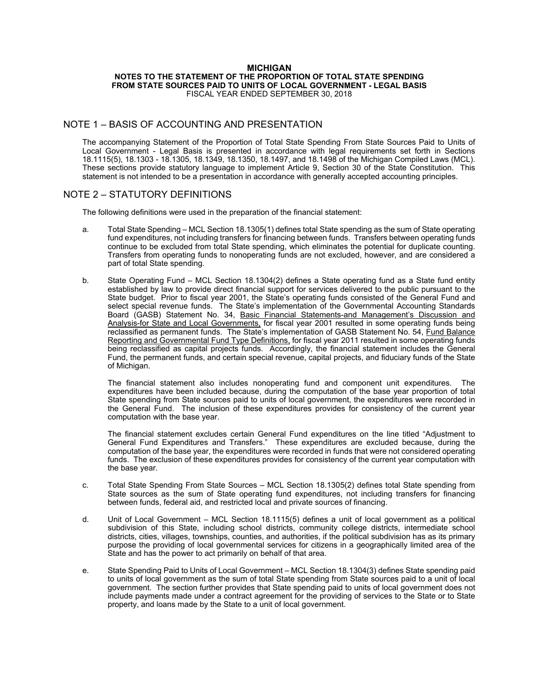#### **MICHIGAN NOTES TO THE STATEMENT OF THE PROPORTION OF TOTAL STATE SPENDING FROM STATE SOURCES PAID TO UNITS OF LOCAL GOVERNMENT - LEGAL BASIS**  FISCAL YEAR ENDED SEPTEMBER 30, 2018

# NOTE 1 – BASIS OF ACCOUNTING AND PRESENTATION

The accompanying Statement of the Proportion of Total State Spending From State Sources Paid to Units of Local Government - Legal Basis is presented in accordance with legal requirements set forth in Sections 18.1115(5), 18.1303 - 18.1305, 18.1349, 18.1350, 18.1497, and 18.1498 of the Michigan Compiled Laws (MCL). These sections provide statutory language to implement Article 9, Section 30 of the State Constitution. This statement is not intended to be a presentation in accordance with generally accepted accounting principles.

# NOTE 2 – STATUTORY DEFINITIONS

The following definitions were used in the preparation of the financial statement:

- a. Total State Spending MCL Section 18.1305(1) defines total State spending as the sum of State operating fund expenditures, not including transfers for financing between funds. Transfers between operating funds continue to be excluded from total State spending, which eliminates the potential for duplicate counting. Transfers from operating funds to nonoperating funds are not excluded, however, and are considered a part of total State spending.
- b. State Operating Fund MCL Section 18.1304(2) defines a State operating fund as a State fund entity established by law to provide direct financial support for services delivered to the public pursuant to the State budget. Prior to fiscal year 2001, the State's operating funds consisted of the General Fund and select special revenue funds. The State's implementation of the Governmental Accounting Standards Board (GASB) Statement No. 34, Basic Financial Statements-and Management's Discussion and Analysis-for State and Local Governments, for fiscal year 2001 resulted in some operating funds being reclassified as permanent funds. The State's implementation of GASB Statement No. 54, Fund Balance Reporting and Governmental Fund Type Definitions, for fiscal year 2011 resulted in some operating funds being reclassified as capital projects funds. Accordingly, the financial statement includes the General Fund, the permanent funds, and certain special revenue, capital projects, and fiduciary funds of the State of Michigan.

The financial statement also includes nonoperating fund and component unit expenditures. The expenditures have been included because, during the computation of the base year proportion of total State spending from State sources paid to units of local government, the expenditures were recorded in the General Fund. The inclusion of these expenditures provides for consistency of the current year computation with the base year.

The financial statement excludes certain General Fund expenditures on the line titled "Adjustment to General Fund Expenditures and Transfers." These expenditures are excluded because, during the computation of the base year, the expenditures were recorded in funds that were not considered operating funds. The exclusion of these expenditures provides for consistency of the current year computation with the base year.

- c. Total State Spending From State Sources MCL Section 18.1305(2) defines total State spending from State sources as the sum of State operating fund expenditures, not including transfers for financing between funds, federal aid, and restricted local and private sources of financing.
- d. Unit of Local Government MCL Section 18.1115(5) defines a unit of local government as a political subdivision of this State, including school districts, community college districts, intermediate school districts, cities, villages, townships, counties, and authorities, if the political subdivision has as its primary purpose the providing of local governmental services for citizens in a geographically limited area of the State and has the power to act primarily on behalf of that area.
- e. State Spending Paid to Units of Local Government MCL Section 18.1304(3) defines State spending paid to units of local government as the sum of total State spending from State sources paid to a unit of local government. The section further provides that State spending paid to units of local government does not include payments made under a contract agreement for the providing of services to the State or to State property, and loans made by the State to a unit of local government.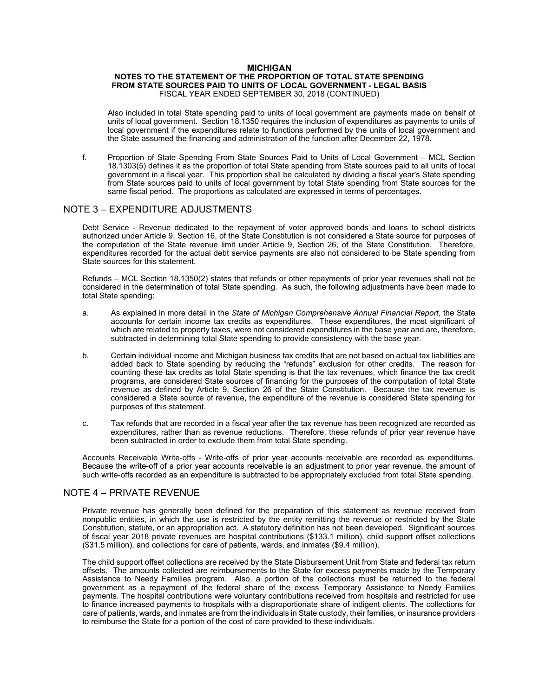#### **MICHIGAN**

#### **NOTES TO THE STATEMENT OF THE PROPORTION OF TOTAL STATE SPENDING FROM STATE SOURCES PAID TO UNITS OF LOCAL GOVERNMENT - LEGAL BASIS**  FISCAL YEAR ENDED SEPTEMBER 30, 2018 (CONTINUED)

 Also included in total State spending paid to units of local government are payments made on behalf of units of local government. Section 18.1350 requires the inclusion of expenditures as payments to units of local government if the expenditures relate to functions performed by the units of local government and the State assumed the financing and administration of the function after December 22, 1978.

f. Proportion of State Spending From State Sources Paid to Units of Local Government – MCL Section 18.1303(5) defines it as the proportion of total State spending from State sources paid to all units of local government in a fiscal year. This proportion shall be calculated by dividing a fiscal year's State spending from State sources paid to units of local government by total State spending from State sources for the same fiscal period. The proportions as calculated are expressed in terms of percentages.

### NOTE 3 – EXPENDITURE ADJUSTMENTS

Debt Service - Revenue dedicated to the repayment of voter approved bonds and loans to school districts authorized under Article 9, Section 16, of the State Constitution is not considered a State source for purposes of the computation of the State revenue limit under Article 9, Section 26, of the State Constitution. Therefore, expenditures recorded for the actual debt service payments are also not considered to be State spending from State sources for this statement.

Refunds – MCL Section 18.1350(2) states that refunds or other repayments of prior year revenues shall not be considered in the determination of total State spending. As such, the following adjustments have been made to total State spending:

- a. As explained in more detail in the *State of Michigan Comprehensive Annual Financial Report*, the State accounts for certain income tax credits as expenditures. These expenditures, the most significant of which are related to property taxes, were not considered expenditures in the base year and are, therefore, subtracted in determining total State spending to provide consistency with the base year.
- b. Certain individual income and Michigan business tax credits that are not based on actual tax liabilities are added back to State spending by reducing the "refunds" exclusion for other credits. The reason for counting these tax credits as total State spending is that the tax revenues, which finance the tax credit programs, are considered State sources of financing for the purposes of the computation of total State revenue as defined by Article 9, Section 26 of the State Constitution. Because the tax revenue is considered a State source of revenue, the expenditure of the revenue is considered State spending for purposes of this statement.
- c. Tax refunds that are recorded in a fiscal year after the tax revenue has been recognized are recorded as expenditures, rather than as revenue reductions. Therefore, these refunds of prior year revenue have been subtracted in order to exclude them from total State spending.

Accounts Receivable Write-offs - Write-offs of prior year accounts receivable are recorded as expenditures. Because the write-off of a prior year accounts receivable is an adjustment to prior year revenue, the amount of such write-offs recorded as an expenditure is subtracted to be appropriately excluded from total State spending.

# NOTE 4 – PRIVATE REVENUE

Private revenue has generally been defined for the preparation of this statement as revenue received from nonpublic entities, in which the use is restricted by the entity remitting the revenue or restricted by the State Constitution, statute, or an appropriation act. A statutory definition has not been developed. Significant sources of fiscal year 2018 private revenues are hospital contributions (\$133.1 million), child support offset collections (\$31.5 million), and collections for care of patients, wards, and inmates (\$9.4 million).

The child support offset collections are received by the State Disbursement Unit from State and federal tax return offsets. The amounts collected are reimbursements to the State for excess payments made by the Temporary Assistance to Needy Families program. Also, a portion of the collections must be returned to the federal government as a repayment of the federal share of the excess Temporary Assistance to Needy Families payments. The hospital contributions were voluntary contributions received from hospitals and restricted for use to finance increased payments to hospitals with a disproportionate share of indigent clients. The collections for care of patients, wards, and inmates are from the individuals in State custody, their families, or insurance providers to reimburse the State for a portion of the cost of care provided to these individuals.